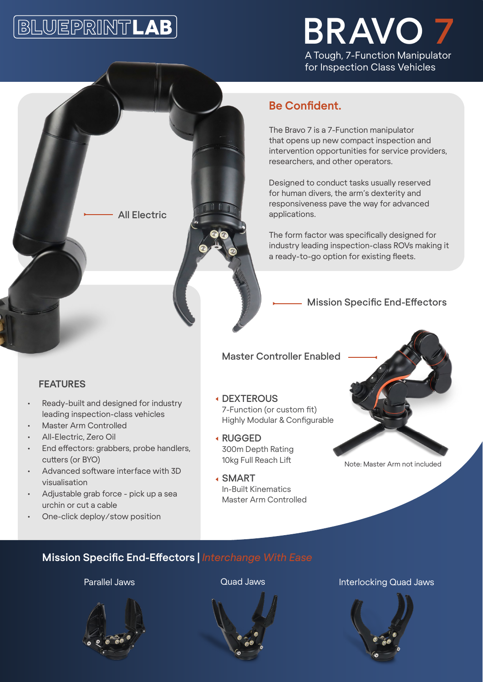# **BLUEPRINTLAB**



## **Be Confident.**

The Bravo 7 is a 7-Function manipulator that opens up new compact inspection and intervention opportunities for service providers, researchers, and other operators.

Designed to conduct tasks usually reserved for human divers, the arm's dexterity and responsiveness pave the way for advanced applications.

The form factor was specifically designed for industry leading inspection-class ROVs making it a ready-to-go option for existing fleets.

#### Mission Specific End-Effectors

#### Master Controller Enabled

#### **FEATURES**

• Ready-built and designed for industry leading inspection-class vehicles

All Electric

- Master Arm Controlled
- All-Electric, Zero Oil
- End effectors: grabbers, probe handlers, cutters (or BYO)
- Advanced software interface with 3D visualisation
- Adjustable grab force pick up a sea urchin or cut a cable
- One-click deploy/stow position

#### DEXTEROUS 7-Function (or custom fit) Highly Modular & Configurable

- RUGGED 300m Depth Rating 10kg Full Reach Lift
- SMART In-Built Kinematics Master Arm Controlled



Note: Master Arm not included

### **Mission Specific End-Effectors |** *Interchange With Ease*